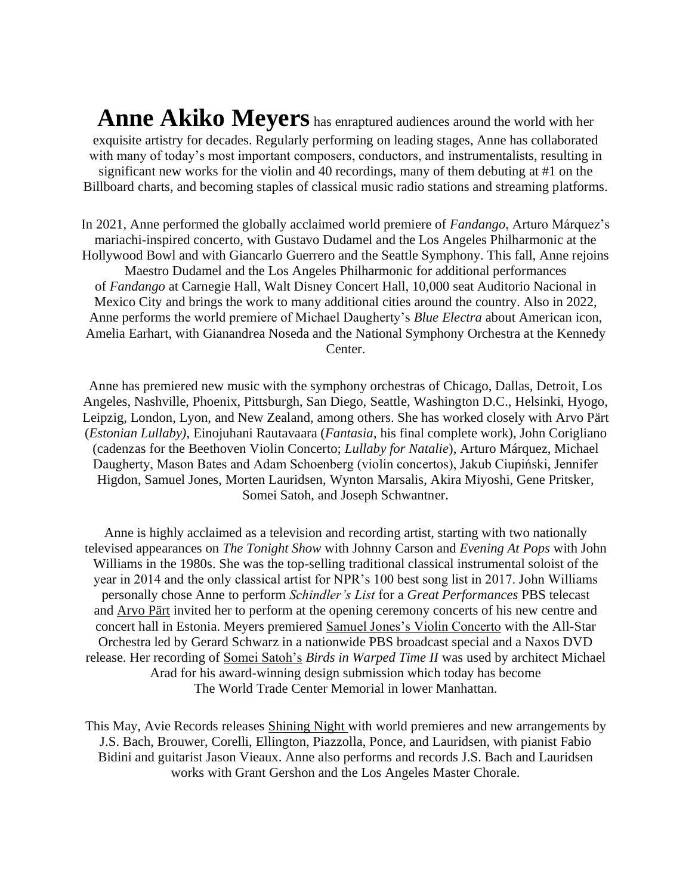**Anne Akiko Meyers** has enraptured audiences around the world with her exquisite artistry for decades. Regularly performing on leading stages, Anne has collaborated with many of today's most important composers, conductors, and instrumentalists, resulting in significant new works for the violin and 40 recordings, many of them debuting at #1 on the Billboard charts, and becoming staples of classical music radio stations and streaming platforms.

In 2021, Anne performed the globally acclaimed world premiere of *Fandango*, Arturo Márquez's mariachi-inspired concerto, with Gustavo Dudamel and the Los Angeles Philharmonic at the Hollywood Bowl and with Giancarlo Guerrero and the Seattle Symphony. This fall, Anne rejoins Maestro Dudamel and the Los Angeles Philharmonic for additional performances of *Fandango* at Carnegie Hall, Walt Disney Concert Hall, 10,000 seat Auditorio Nacional in Mexico City and brings the work to many additional cities around the country. Also in 2022, Anne performs the world premiere of Michael Daugherty's *Blue Electra* about American icon, Amelia Earhart, with Gianandrea Noseda and the National Symphony Orchestra at the Kennedy Center.

Anne has premiered new music with the symphony orchestras of Chicago, Dallas, Detroit, Los Angeles, Nashville, Phoenix, Pittsburgh, San Diego, Seattle, Washington D.C., Helsinki, Hyogo, Leipzig, London, Lyon, and New Zealand, among others. She has worked closely with Arvo Pärt (*Estonian Lullaby)*, Einojuhani Rautavaara (*Fantasia*, his final complete work), John Corigliano (cadenzas for the Beethoven Violin Concerto; *Lullaby for Natalie*), Arturo Márquez, Michael Daugherty, Mason Bates and Adam Schoenberg (violin concertos), Jakub Ciupiński, Jennifer Higdon, Samuel Jones, Morten Lauridsen, Wynton Marsalis, Akira Miyoshi, Gene Pritsker, Somei Satoh, and Joseph Schwantner.

Anne is highly acclaimed as a television and recording artist, starting with two nationally televised appearances on *The Tonight Show* with Johnny Carson and *Evening At Pops* with John Williams in the 1980s. She was the top-selling traditional classical instrumental soloist of the year in 2014 and the only classical artist for NPR's 100 best song list in 2017. John Williams personally chose Anne to perform *[Schindler's List](https://www.youtube.com/watch?v=oWrxLKD0KVU)* for a *Great Performances* PBS telecast and [Arvo Pärt](https://www.youtube.com/watch?v=i9I-6QPT8Is) invited her to perform at the opening ceremony concerts of his new centre and concert hall in Estonia. Meyers premiered [Samuel Jones's Violin Concerto](http://www.amazon.com/All-Star-Orchestra-Programs-11-12/dp/B013RN98RM/ref=sr_1_1?ie=UTF8&qid=1450646268&sr=8-1&keywords=all+star+orchestra+anne+akiko+meyers) with the All-Star Orchestra led by Gerard Schwarz in a nationwide PBS broadcast special and a Naxos DVD release. Her recording of Somei Satoh's *[Birds in Warped Time II](https://www.youtube.com/watch?v=Qo3qgLRqbqg)* was used by architect Michael Arad for his award-winning design submission which today has become The World Trade Center Memorial in lower Manhattan.

This May, Avie Records releases [Shining Night](https://orcd.co/shining-night) with world premieres and new arrangements by J.S. Bach, Brouwer, Corelli, Ellington, Piazzolla, Ponce, and Lauridsen, with pianist Fabio Bidini and guitarist Jason Vieaux. Anne also performs and records J.S. Bach and Lauridsen works with Grant Gershon and the Los Angeles Master Chorale.